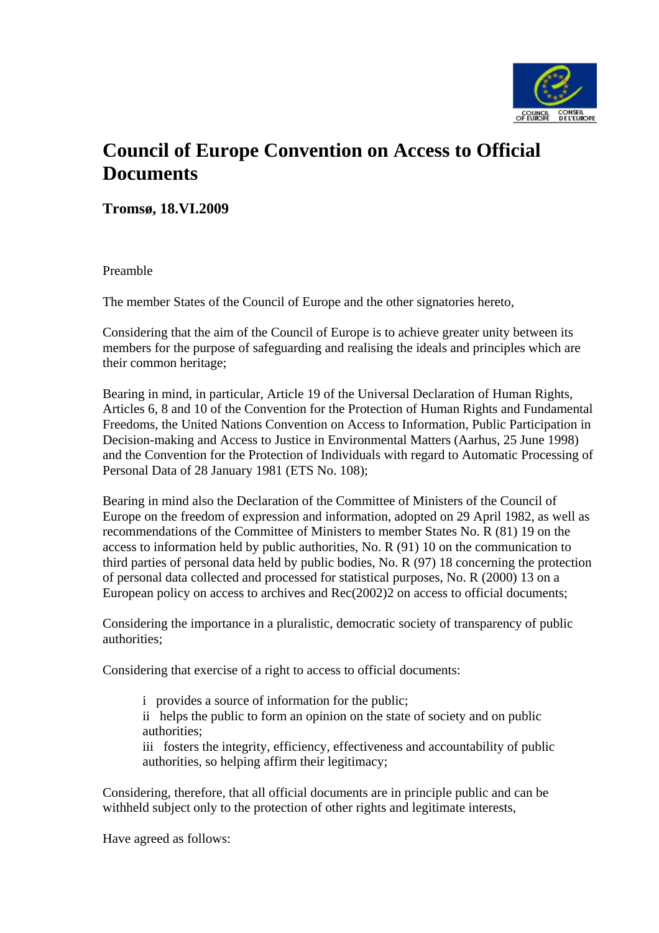

# **Council of Europe Convention on Access to Official Documents**

**Tromsø, 18.VI.2009** 

Preamble

The member States of the Council of Europe and the other signatories hereto,

Considering that the aim of the Council of Europe is to achieve greater unity between its members for the purpose of safeguarding and realising the ideals and principles which are their common heritage;

Bearing in mind, in particular, Article 19 of the Universal Declaration of Human Rights, Articles 6, 8 and 10 of the Convention for the Protection of Human Rights and Fundamental Freedoms, the United Nations Convention on Access to Information, Public Participation in Decision-making and Access to Justice in Environmental Matters (Aarhus, 25 June 1998) and the Convention for the Protection of Individuals with regard to Automatic Processing of Personal Data of 28 January 1981 (ETS No. 108);

Bearing in mind also the Declaration of the Committee of Ministers of the Council of Europe on the freedom of expression and information, adopted on 29 April 1982, as well as recommendations of the Committee of Ministers to member States No. R (81) 19 on the access to information held by public authorities, No. R (91) 10 on the communication to third parties of personal data held by public bodies, No. R (97) 18 concerning the protection of personal data collected and processed for statistical purposes, No. R (2000) 13 on a European policy on access to archives and Rec(2002)2 on access to official documents;

Considering the importance in a pluralistic, democratic society of transparency of public authorities;

Considering that exercise of a right to access to official documents:

i provides a source of information for the public; ii helps the public to form an opinion on the state of society and on public authorities;

iii fosters the integrity, efficiency, effectiveness and accountability of public authorities, so helping affirm their legitimacy;

Considering, therefore, that all official documents are in principle public and can be withheld subject only to the protection of other rights and legitimate interests,

Have agreed as follows: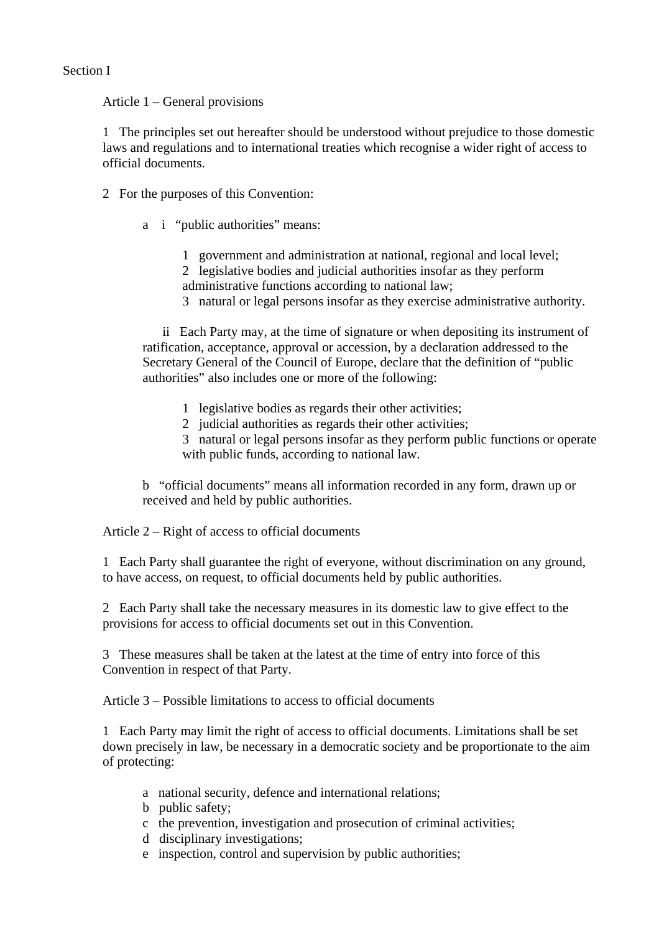# Section I

Article 1 – General provisions

1 The principles set out hereafter should be understood without prejudice to those domestic laws and regulations and to international treaties which recognise a wider right of access to official documents.

- 2 For the purposes of this Convention:
	- a i "public authorities" means:
		- 1 government and administration at national, regional and local level; 2 legislative bodies and judicial authorities insofar as they perform administrative functions according to national law;
		- 3 natural or legal persons insofar as they exercise administrative authority.

 ii Each Party may, at the time of signature or when depositing its instrument of ratification, acceptance, approval or accession, by a declaration addressed to the Secretary General of the Council of Europe, declare that the definition of "public authorities" also includes one or more of the following:

- 1 legislative bodies as regards their other activities;
- 2 judicial authorities as regards their other activities;

3 natural or legal persons insofar as they perform public functions or operate with public funds, according to national law.

b "official documents" means all information recorded in any form, drawn up or received and held by public authorities.

Article 2 – Right of access to official documents

1 Each Party shall guarantee the right of everyone, without discrimination on any ground, to have access, on request, to official documents held by public authorities.

2 Each Party shall take the necessary measures in its domestic law to give effect to the provisions for access to official documents set out in this Convention.

3 These measures shall be taken at the latest at the time of entry into force of this Convention in respect of that Party.

Article 3 – Possible limitations to access to official documents

1 Each Party may limit the right of access to official documents. Limitations shall be set down precisely in law, be necessary in a democratic society and be proportionate to the aim of protecting:

- a national security, defence and international relations;
- b public safety;
- c the prevention, investigation and prosecution of criminal activities;
- d disciplinary investigations;
- e inspection, control and supervision by public authorities;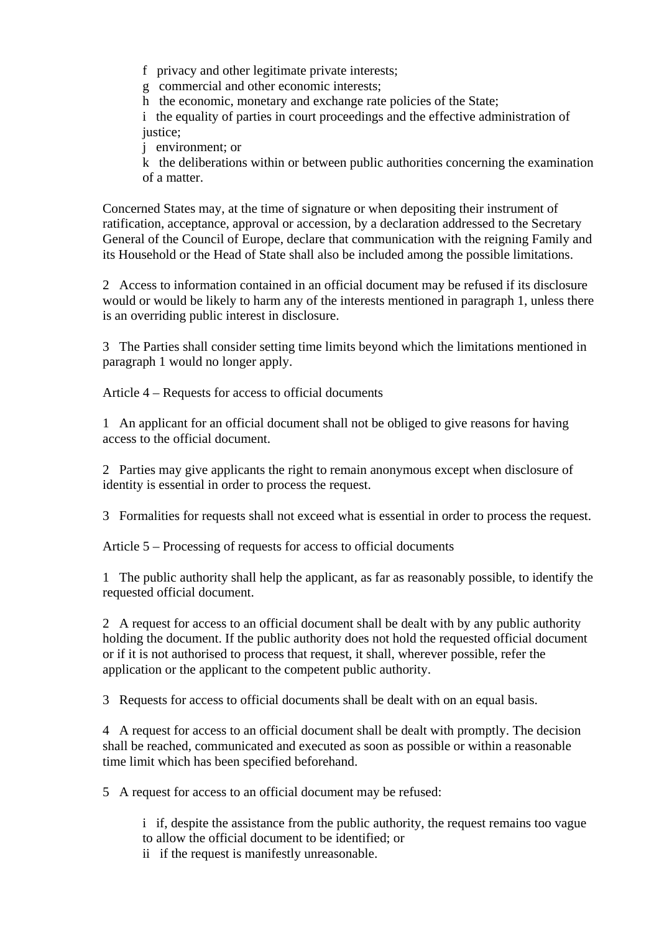f privacy and other legitimate private interests;

g commercial and other economic interests;

h the economic, monetary and exchange rate policies of the State;

i the equality of parties in court proceedings and the effective administration of justice;

j environment; or

k the deliberations within or between public authorities concerning the examination of a matter.

Concerned States may, at the time of signature or when depositing their instrument of ratification, acceptance, approval or accession, by a declaration addressed to the Secretary General of the Council of Europe, declare that communication with the reigning Family and its Household or the Head of State shall also be included among the possible limitations.

2 Access to information contained in an official document may be refused if its disclosure would or would be likely to harm any of the interests mentioned in paragraph 1, unless there is an overriding public interest in disclosure.

3 The Parties shall consider setting time limits beyond which the limitations mentioned in paragraph 1 would no longer apply.

Article 4 – Requests for access to official documents

1 An applicant for an official document shall not be obliged to give reasons for having access to the official document.

2 Parties may give applicants the right to remain anonymous except when disclosure of identity is essential in order to process the request.

3 Formalities for requests shall not exceed what is essential in order to process the request.

Article 5 – Processing of requests for access to official documents

1 The public authority shall help the applicant, as far as reasonably possible, to identify the requested official document.

2 A request for access to an official document shall be dealt with by any public authority holding the document. If the public authority does not hold the requested official document or if it is not authorised to process that request, it shall, wherever possible, refer the application or the applicant to the competent public authority.

3 Requests for access to official documents shall be dealt with on an equal basis.

4 A request for access to an official document shall be dealt with promptly. The decision shall be reached, communicated and executed as soon as possible or within a reasonable time limit which has been specified beforehand.

5 A request for access to an official document may be refused:

i if, despite the assistance from the public authority, the request remains too vague to allow the official document to be identified; or

ii if the request is manifestly unreasonable.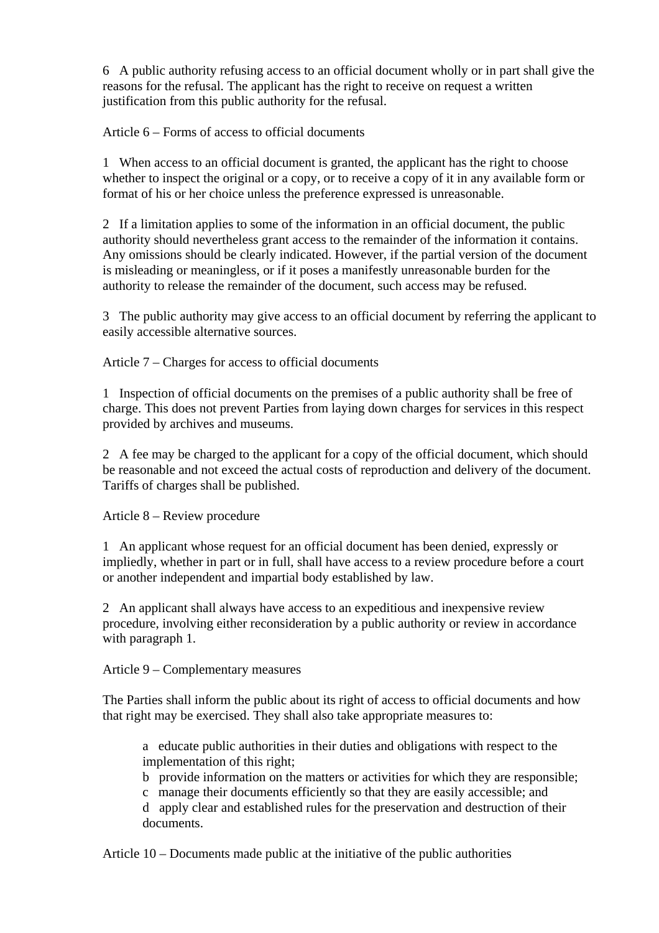6 A public authority refusing access to an official document wholly or in part shall give the reasons for the refusal. The applicant has the right to receive on request a written justification from this public authority for the refusal.

Article 6 – Forms of access to official documents

1 When access to an official document is granted, the applicant has the right to choose whether to inspect the original or a copy, or to receive a copy of it in any available form or format of his or her choice unless the preference expressed is unreasonable.

2 If a limitation applies to some of the information in an official document, the public authority should nevertheless grant access to the remainder of the information it contains. Any omissions should be clearly indicated. However, if the partial version of the document is misleading or meaningless, or if it poses a manifestly unreasonable burden for the authority to release the remainder of the document, such access may be refused.

3 The public authority may give access to an official document by referring the applicant to easily accessible alternative sources.

Article 7 – Charges for access to official documents

1 Inspection of official documents on the premises of a public authority shall be free of charge. This does not prevent Parties from laying down charges for services in this respect provided by archives and museums.

2 A fee may be charged to the applicant for a copy of the official document, which should be reasonable and not exceed the actual costs of reproduction and delivery of the document. Tariffs of charges shall be published.

Article 8 – Review procedure

1 An applicant whose request for an official document has been denied, expressly or impliedly, whether in part or in full, shall have access to a review procedure before a court or another independent and impartial body established by law.

2 An applicant shall always have access to an expeditious and inexpensive review procedure, involving either reconsideration by a public authority or review in accordance with paragraph 1.

Article 9 – Complementary measures

The Parties shall inform the public about its right of access to official documents and how that right may be exercised. They shall also take appropriate measures to:

a educate public authorities in their duties and obligations with respect to the implementation of this right;

b provide information on the matters or activities for which they are responsible;

c manage their documents efficiently so that they are easily accessible; and

d apply clear and established rules for the preservation and destruction of their documents.

Article 10 – Documents made public at the initiative of the public authorities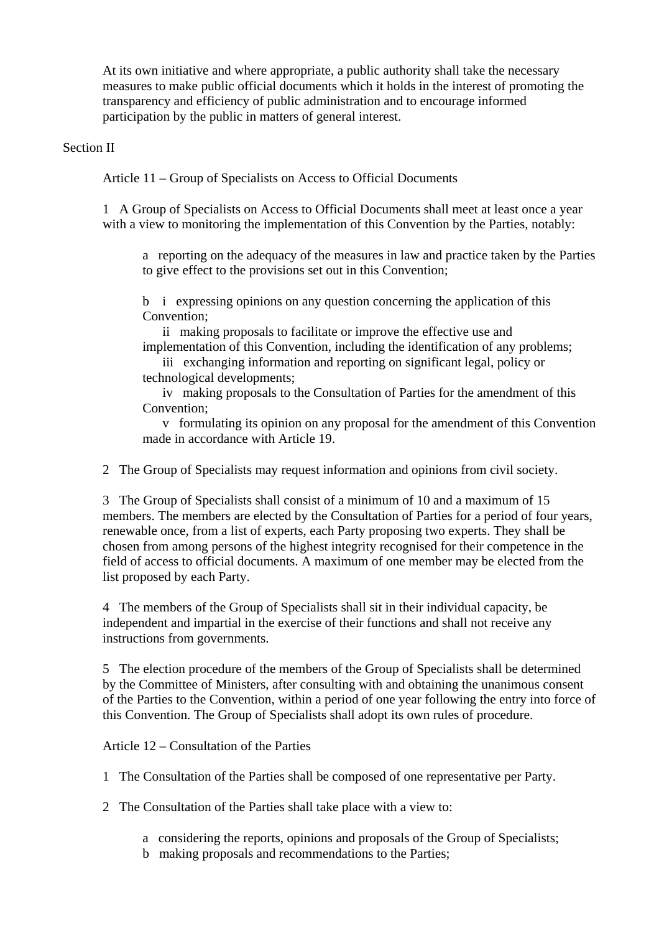At its own initiative and where appropriate, a public authority shall take the necessary measures to make public official documents which it holds in the interest of promoting the transparency and efficiency of public administration and to encourage informed participation by the public in matters of general interest.

## Section II

Article 11 – Group of Specialists on Access to Official Documents

1 A Group of Specialists on Access to Official Documents shall meet at least once a year with a view to monitoring the implementation of this Convention by the Parties, notably:

a reporting on the adequacy of the measures in law and practice taken by the Parties to give effect to the provisions set out in this Convention;

b i expressing opinions on any question concerning the application of this Convention;

 ii making proposals to facilitate or improve the effective use and implementation of this Convention, including the identification of any problems;

 iii exchanging information and reporting on significant legal, policy or technological developments;

 iv making proposals to the Consultation of Parties for the amendment of this Convention;

 v formulating its opinion on any proposal for the amendment of this Convention made in accordance with Article 19.

2 The Group of Specialists may request information and opinions from civil society.

3 The Group of Specialists shall consist of a minimum of 10 and a maximum of 15 members. The members are elected by the Consultation of Parties for a period of four years, renewable once, from a list of experts, each Party proposing two experts. They shall be chosen from among persons of the highest integrity recognised for their competence in the field of access to official documents. A maximum of one member may be elected from the list proposed by each Party.

4 The members of the Group of Specialists shall sit in their individual capacity, be independent and impartial in the exercise of their functions and shall not receive any instructions from governments.

5 The election procedure of the members of the Group of Specialists shall be determined by the Committee of Ministers, after consulting with and obtaining the unanimous consent of the Parties to the Convention, within a period of one year following the entry into force of this Convention. The Group of Specialists shall adopt its own rules of procedure.

Article 12 – Consultation of the Parties

1 The Consultation of the Parties shall be composed of one representative per Party.

2 The Consultation of the Parties shall take place with a view to:

- a considering the reports, opinions and proposals of the Group of Specialists;
- b making proposals and recommendations to the Parties;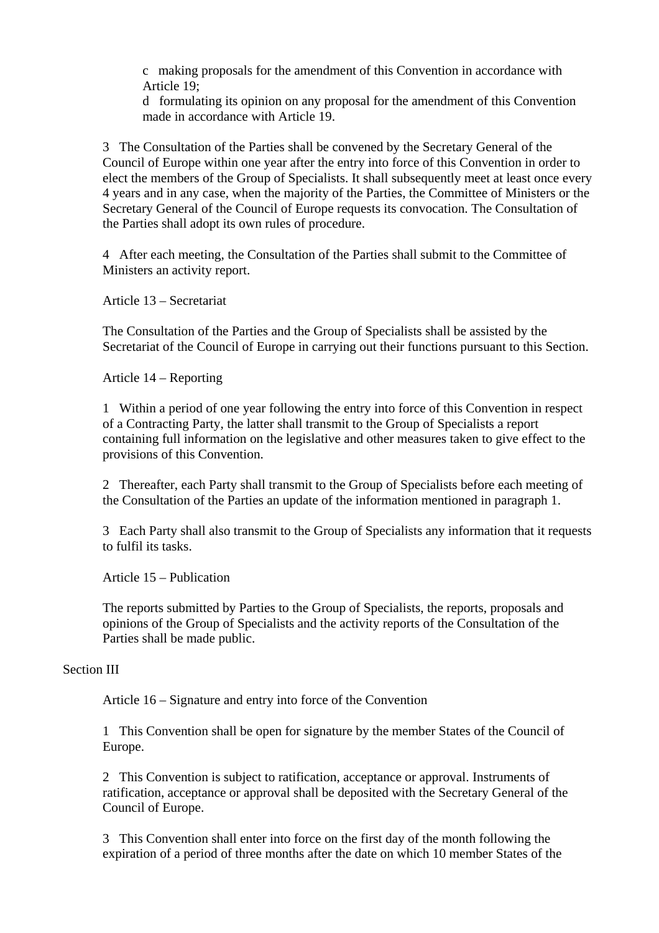c making proposals for the amendment of this Convention in accordance with Article 19;

d formulating its opinion on any proposal for the amendment of this Convention made in accordance with Article 19.

3 The Consultation of the Parties shall be convened by the Secretary General of the Council of Europe within one year after the entry into force of this Convention in order to elect the members of the Group of Specialists. It shall subsequently meet at least once every 4 years and in any case, when the majority of the Parties, the Committee of Ministers or the Secretary General of the Council of Europe requests its convocation. The Consultation of the Parties shall adopt its own rules of procedure.

4 After each meeting, the Consultation of the Parties shall submit to the Committee of Ministers an activity report.

Article 13 – Secretariat

The Consultation of the Parties and the Group of Specialists shall be assisted by the Secretariat of the Council of Europe in carrying out their functions pursuant to this Section.

Article 14 – Reporting

1 Within a period of one year following the entry into force of this Convention in respect of a Contracting Party, the latter shall transmit to the Group of Specialists a report containing full information on the legislative and other measures taken to give effect to the provisions of this Convention.

2 Thereafter, each Party shall transmit to the Group of Specialists before each meeting of the Consultation of the Parties an update of the information mentioned in paragraph 1.

3 Each Party shall also transmit to the Group of Specialists any information that it requests to fulfil its tasks.

Article 15 – Publication

The reports submitted by Parties to the Group of Specialists, the reports, proposals and opinions of the Group of Specialists and the activity reports of the Consultation of the Parties shall be made public.

#### Section III

Article 16 – Signature and entry into force of the Convention

1 This Convention shall be open for signature by the member States of the Council of Europe.

2 This Convention is subject to ratification, acceptance or approval. Instruments of ratification, acceptance or approval shall be deposited with the Secretary General of the Council of Europe.

3 This Convention shall enter into force on the first day of the month following the expiration of a period of three months after the date on which 10 member States of the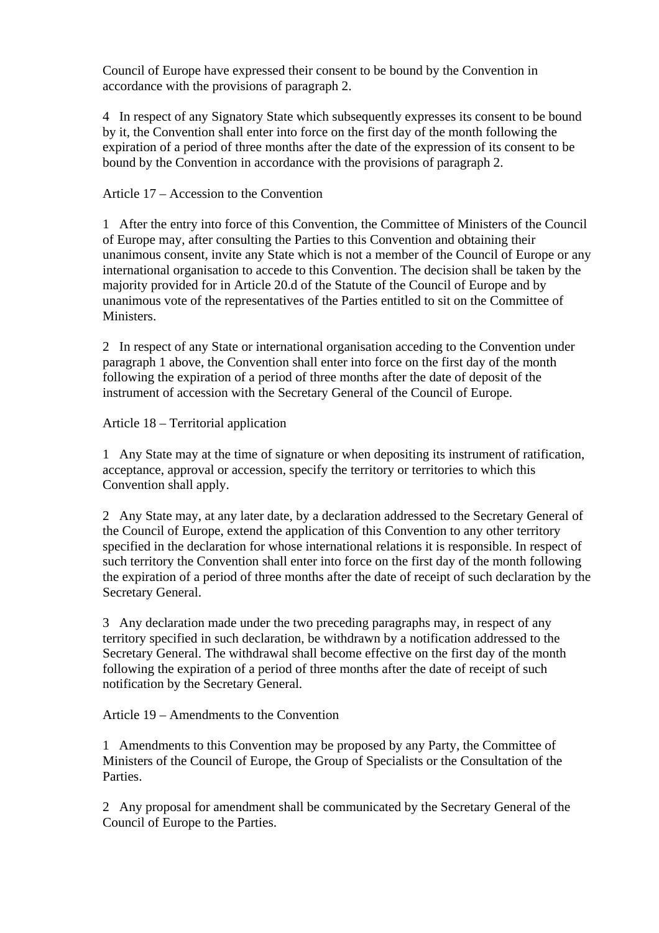Council of Europe have expressed their consent to be bound by the Convention in accordance with the provisions of paragraph 2.

4 In respect of any Signatory State which subsequently expresses its consent to be bound by it, the Convention shall enter into force on the first day of the month following the expiration of a period of three months after the date of the expression of its consent to be bound by the Convention in accordance with the provisions of paragraph 2.

# Article 17 – Accession to the Convention

1 After the entry into force of this Convention, the Committee of Ministers of the Council of Europe may, after consulting the Parties to this Convention and obtaining their unanimous consent, invite any State which is not a member of the Council of Europe or any international organisation to accede to this Convention. The decision shall be taken by the majority provided for in Article 20.d of the Statute of the Council of Europe and by unanimous vote of the representatives of the Parties entitled to sit on the Committee of Ministers.

2 In respect of any State or international organisation acceding to the Convention under paragraph 1 above, the Convention shall enter into force on the first day of the month following the expiration of a period of three months after the date of deposit of the instrument of accession with the Secretary General of the Council of Europe.

# Article 18 – Territorial application

1 Any State may at the time of signature or when depositing its instrument of ratification, acceptance, approval or accession, specify the territory or territories to which this Convention shall apply.

2 Any State may, at any later date, by a declaration addressed to the Secretary General of the Council of Europe, extend the application of this Convention to any other territory specified in the declaration for whose international relations it is responsible. In respect of such territory the Convention shall enter into force on the first day of the month following the expiration of a period of three months after the date of receipt of such declaration by the Secretary General.

3 Any declaration made under the two preceding paragraphs may, in respect of any territory specified in such declaration, be withdrawn by a notification addressed to the Secretary General. The withdrawal shall become effective on the first day of the month following the expiration of a period of three months after the date of receipt of such notification by the Secretary General.

Article 19 – Amendments to the Convention

1 Amendments to this Convention may be proposed by any Party, the Committee of Ministers of the Council of Europe, the Group of Specialists or the Consultation of the Parties.

2 Any proposal for amendment shall be communicated by the Secretary General of the Council of Europe to the Parties.